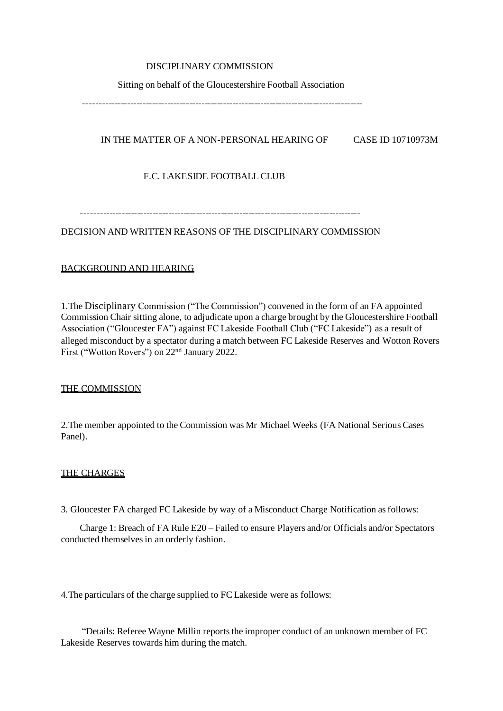# DISCIPLINARY COMMISSION

#### Sitting on behalf of the Gloucestershire Football Association

------------------------------------------------------------------------------------------

# IN THE MATTER OF A NON-PERSONAL HEARING OF CASE ID 10710973M

# F.C. LAKESIDE FOOTBALL CLUB

------------------------------------------------------------------------------------------

# DECISION AND WRITTEN REASONS OF THE DISCIPLINARY COMMISSION

# BACKGROUND AND HEARING

1.The Disciplinary Commission ("The Commission") convened in the form of an FA appointed Commission Chair sitting alone, to adjudicate upon a charge brought by the Gloucestershire Football Association ("Gloucester FA") against FC Lakeside Football Club ("FC Lakeside") as a result of alleged misconduct by a spectator during a match between FC Lakeside Reserves and Wotton Rovers First ("Wotton Rovers") on 22nd January 2022.

#### THE COMMISSION

2.The member appointed to the Commission was Mr Michael Weeks (FA National Serious Cases Panel).

#### THE CHARGES

3. Gloucester FA charged FC Lakeside by way of a Misconduct Charge Notification as follows:

 Charge 1: Breach of FA Rule E20 – Failed to ensure Players and/or Officials and/or Spectators conducted themselves in an orderly fashion.

4.The particulars of the charge supplied to FC Lakeside were as follows:

 "Details: Referee Wayne Millin reports the improper conduct of an unknown member of FC Lakeside Reserves towards him during the match.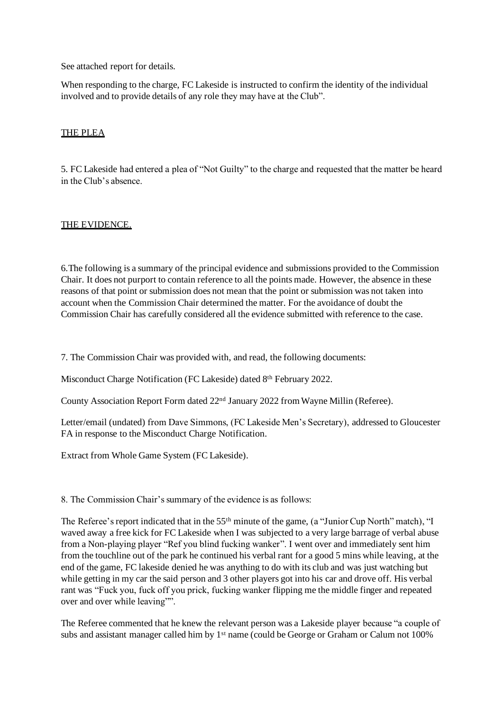See attached report for details.

When responding to the charge, FC Lakeside is instructed to confirm the identity of the individual involved and to provide details of any role they may have at the Club".

### THE PLEA

5. FC Lakeside had entered a plea of "Not Guilty" to the charge and requested that the matter be heard in the Club's absence.

# THE EVIDENCE.

6.The following is a summary of the principal evidence and submissions provided to the Commission Chair. It does not purport to contain reference to all the points made. However, the absence in these reasons of that point or submission does not mean that the point or submission was not taken into account when the Commission Chair determined the matter. For the avoidance of doubt the Commission Chair has carefully considered all the evidence submitted with reference to the case.

7. The Commission Chair was provided with, and read, the following documents:

Misconduct Charge Notification (FC Lakeside) dated 8<sup>th</sup> February 2022.

County Association Report Form dated 22nd January 2022 from Wayne Millin (Referee).

Letter/email (undated) from Dave Simmons, (FC Lakeside Men's Secretary), addressed to Gloucester FA in response to the Misconduct Charge Notification.

Extract from Whole Game System (FC Lakeside).

8. The Commission Chair's summary of the evidence is as follows:

The Referee's report indicated that in the 55<sup>th</sup> minute of the game, (a "Junior Cup North" match), "I waved away a free kick for FC Lakeside when I was subjected to a very large barrage of verbal abuse from a Non-playing player "Ref you blind fucking wanker". I went over and immediately sent him from the touchline out of the park he continued his verbal rant for a good 5 mins while leaving, at the end of the game, FC lakeside denied he was anything to do with its club and was just watching but while getting in my car the said person and 3 other players got into his car and drove off. His verbal rant was "Fuck you, fuck off you prick, fucking wanker flipping me the middle finger and repeated over and over while leaving"".

The Referee commented that he knew the relevant person was a Lakeside player because "a couple of subs and assistant manager called him by 1<sup>st</sup> name (could be George or Graham or Calum not 100%)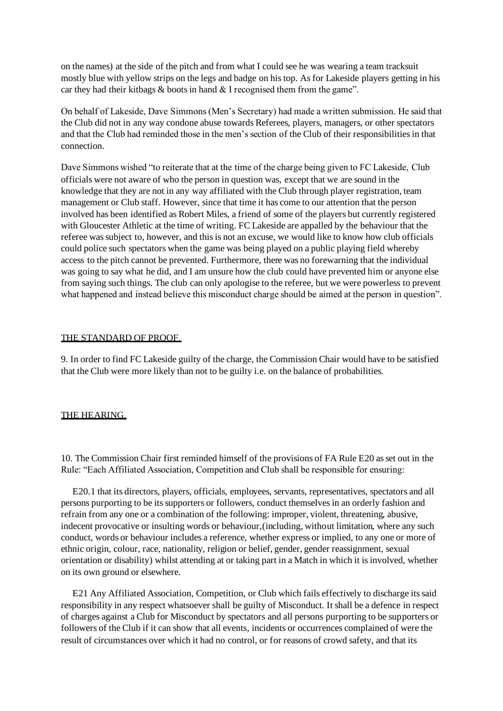on the names) at the side of the pitch and from what I could see he was wearing a team tracksuit mostly blue with yellow strips on the legs and badge on his top. As for Lakeside players getting in his car they had their kitbags  $\&$  boots in hand  $\&$  I recognised them from the game".

On behalf of Lakeside, Dave Simmons (Men's Secretary) had made a written submission. He said that the Club did not in any way condone abuse towards Referees, players, managers, or other spectators and that the Club had reminded those in the men's section of the Club of their responsibilities in that connection.

Dave Simmons wished "to reiterate that at the time of the charge being given to FC Lakeside, Club officials were not aware of who the person in question was, except that we are sound in the knowledge that they are not in any way affiliated with the Club through player registration, team management or Club staff. However, since that time it has come to our attention that the person involved has been identified as Robert Miles, a friend of some of the players but currently registered with Gloucester Athletic at the time of writing. FC Lakeside are appalled by the behaviour that the referee was subject to, however, and this is not an excuse, we would like to know how club officials could police such spectators when the game was being played on a public playing field whereby access to the pitch cannot be prevented. Furthermore, there was no forewarning that the individual was going to say what he did, and I am unsure how the club could have prevented him or anyone else from saying such things. The club can only apologise to the referee, but we were powerless to prevent what happened and instead believe this misconduct charge should be aimed at the person in question".

#### THE STANDARD OF PROOF.

9. In order to find FC Lakeside guilty of the charge, the Commission Chair would have to be satisfied that the Club were more likely than not to be guilty i.e. on the balance of probabilities.

#### THE HEARING.

10. The Commission Chair first reminded himself of the provisions of FA Rule E20 as set out in the Rule: "Each Affiliated Association, Competition and Club shall be responsible for ensuring:

 E20.1 that its directors, players, officials, employees, servants, representatives, spectators and all persons purporting to be its supporters or followers, conduct themselves in an orderly fashion and refrain from any one or a combination of the following: improper, violent, threatening, abusive, indecent provocative or insulting words or behaviour,(including, without limitation, where any such conduct, words or behaviour includes a reference, whether express or implied, to any one or more of ethnic origin, colour, race, nationality, religion or belief, gender, gender reassignment, sexual orientation or disability) whilst attending at or taking part in a Match in which it is involved, whether on its own ground or elsewhere.

 E21 Any Affiliated Association, Competition, or Club which fails effectively to discharge its said responsibility in any respect whatsoever shall be guilty of Misconduct. It shall be a defence in respect of charges against a Club for Misconduct by spectators and all persons purporting to be supporters or followers of the Club if it can show that all events, incidents or occurrences complained of were the result of circumstances over which it had no control, or for reasons of crowd safety, and that its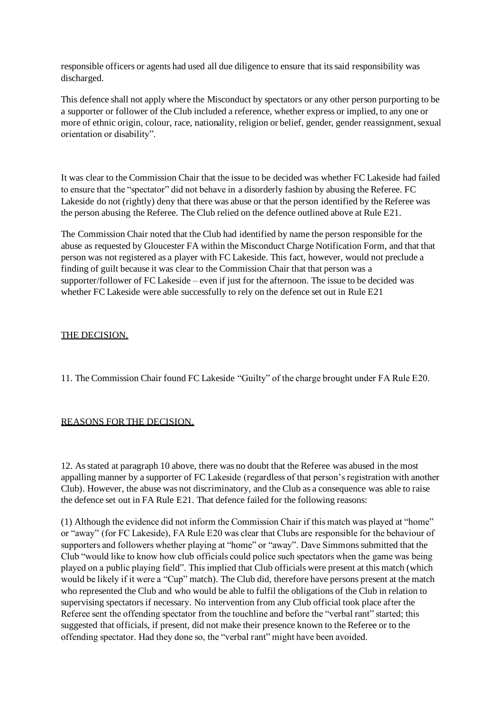responsible officers or agents had used all due diligence to ensure that its said responsibility was discharged.

This defence shall not apply where the Misconduct by spectators or any other person purporting to be a supporter or follower of the Club included a reference, whether express or implied, to any one or more of ethnic origin, colour, race, nationality, religion or belief, gender, gender reassignment, sexual orientation or disability".

It was clear to the Commission Chair that the issue to be decided was whether FC Lakeside had failed to ensure that the "spectator" did not behave in a disorderly fashion by abusing the Referee. FC Lakeside do not (rightly) deny that there was abuse or that the person identified by the Referee was the person abusing the Referee. The Club relied on the defence outlined above at Rule E21.

The Commission Chair noted that the Club had identified by name the person responsible for the abuse as requested by Gloucester FA within the Misconduct Charge Notification Form, and that that person was not registered as a player with FC Lakeside. This fact, however, would not preclude a finding of guilt because it was clear to the Commission Chair that that person was a supporter/follower of FC Lakeside – even if just for the afternoon. The issue to be decided was whether FC Lakeside were able successfully to rely on the defence set out in Rule E21

# THE DECISION.

11. The Commission Chair found FC Lakeside "Guilty" of the charge brought under FA Rule E20.

#### REASONS FOR THE DECISION.

12. As stated at paragraph 10 above, there was no doubt that the Referee was abused in the most appalling manner by a supporter of FC Lakeside (regardless of that person's registration with another Club). However, the abuse was not discriminatory, and the Club as a consequence was able to raise the defence set out in FA Rule E21. That defence failed for the following reasons:

(1) Although the evidence did not inform the Commission Chair if this match was played at "home" or "away" (for FC Lakeside), FA Rule E20 was clear that Clubs are responsible for the behaviour of supporters and followers whether playing at "home" or "away". Dave Simmons submitted that the Club "would like to know how club officials could police such spectators when the game was being played on a public playing field". This implied that Club officials were present at this match (which would be likely if it were a "Cup" match). The Club did, therefore have persons present at the match who represented the Club and who would be able to fulfil the obligations of the Club in relation to supervising spectators if necessary. No intervention from any Club official took place after the Referee sent the offending spectator from the touchline and before the "verbal rant" started; this suggested that officials, if present, did not make their presence known to the Referee or to the offending spectator. Had they done so, the "verbal rant" might have been avoided.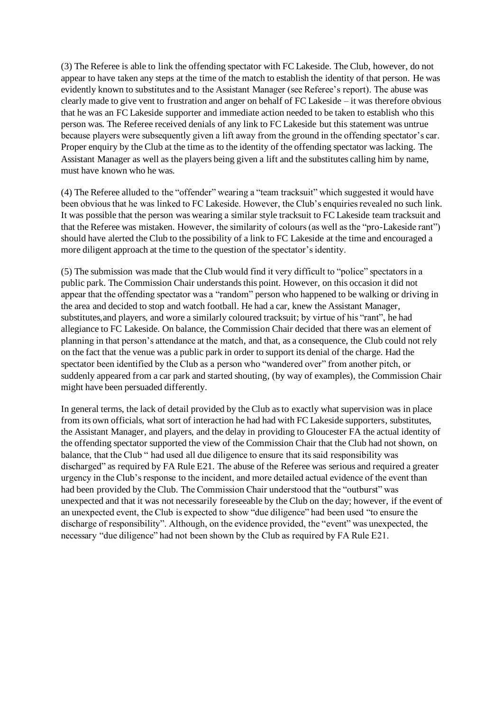(3) The Referee is able to link the offending spectator with FC Lakeside. The Club, however, do not appear to have taken any steps at the time of the match to establish the identity of that person. He was evidently known to substitutes and to the Assistant Manager (see Referee's report). The abuse was clearly made to give vent to frustration and anger on behalf of FC Lakeside – it was therefore obvious that he was an FC Lakeside supporter and immediate action needed to be taken to establish who this person was. The Referee received denials of any link to FC Lakeside but this statement was untrue because players were subsequently given a lift away from the ground in the offending spectator's car. Proper enquiry by the Club at the time as to the identity of the offending spectator was lacking. The Assistant Manager as well as the players being given a lift and the substitutes calling him by name, must have known who he was.

(4) The Referee alluded to the "offender" wearing a "team tracksuit" which suggested it would have been obvious that he was linked to FC Lakeside. However, the Club's enquiries revealed no such link. It was possible that the person was wearing a similar style tracksuit to FC Lakeside team tracksuit and that the Referee was mistaken. However, the similarity of colours (as well as the "pro-Lakeside rant") should have alerted the Club to the possibility of a link to FC Lakeside at the time and encouraged a more diligent approach at the time to the question of the spectator's identity.

(5) The submission was made that the Club would find it very difficult to "police" spectators in a public park. The Commission Chair understands this point. However, on this occasion it did not appear that the offending spectator was a "random" person who happened to be walking or driving in the area and decided to stop and watch football. He had a car, knew the Assistant Manager, substitutes,and players, and wore a similarly coloured tracksuit; by virtue of his "rant", he had allegiance to FC Lakeside. On balance, the Commission Chair decided that there was an element of planning in that person's attendance at the match, and that, as a consequence, the Club could not rely on the fact that the venue was a public park in order to support its denial of the charge. Had the spectator been identified by the Club as a person who "wandered over" from another pitch, or suddenly appeared from a car park and started shouting, (by way of examples), the Commission Chair might have been persuaded differently.

In general terms, the lack of detail provided by the Club as to exactly what supervision was in place from its own officials, what sort of interaction he had had with FC Lakeside supporters, substitutes, the Assistant Manager, and players, and the delay in providing to Gloucester FA the actual identity of the offending spectator supported the view of the Commission Chair that the Club had not shown, on balance, that the Club " had used all due diligence to ensure that its said responsibility was discharged" as required by FA Rule E21. The abuse of the Referee was serious and required a greater urgency in the Club's response to the incident, and more detailed actual evidence of the event than had been provided by the Club. The Commission Chair understood that the "outburst" was unexpected and that it was not necessarily foreseeable by the Club on the day; however, if the event of an unexpected event, the Club is expected to show "due diligence" had been used "to ensure the discharge of responsibility". Although, on the evidence provided, the "event" was unexpected, the necessary "due diligence" had not been shown by the Club as required by FA Rule E21.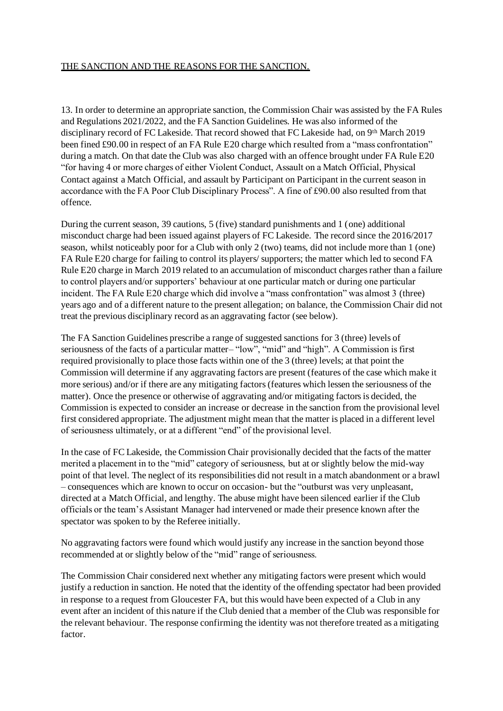# THE SANCTION AND THE REASONS FOR THE SANCTION.

13. In order to determine an appropriate sanction, the Commission Chair was assisted by the FA Rules and Regulations 2021/2022, and the FA Sanction Guidelines. He was also informed of the disciplinary record of FC Lakeside. That record showed that FC Lakeside had, on 9th March 2019 been fined £90.00 in respect of an FA Rule E20 charge which resulted from a "mass confrontation" during a match. On that date the Club was also charged with an offence brought under FA Rule E20 "for having 4 or more charges of either Violent Conduct, Assault on a Match Official, Physical Contact against a Match Official, and assault by Participant on Participant in the current season in accordance with the FA Poor Club Disciplinary Process". A fine of £90.00 also resulted from that offence.

During the current season, 39 cautions, 5 (five) standard punishments and 1 (one) additional misconduct charge had been issued against players of FC Lakeside. The record since the 2016/2017 season, whilst noticeably poor for a Club with only 2 (two) teams, did not include more than 1 (one) FA Rule E20 charge for failing to control its players/ supporters; the matter which led to second FA Rule E20 charge in March 2019 related to an accumulation of misconduct charges rather than a failure to control players and/or supporters' behaviour at one particular match or during one particular incident. The FA Rule E20 charge which did involve a "mass confrontation" was almost 3 (three) years ago and of a different nature to the present allegation; on balance, the Commission Chair did not treat the previous disciplinary record as an aggravating factor (see below).

The FA Sanction Guidelines prescribe a range of suggested sanctions for 3 (three) levels of seriousness of the facts of a particular matter– "low", "mid" and "high". A Commission is first required provisionally to place those facts within one of the 3 (three) levels; at that point the Commission will determine if any aggravating factors are present (features of the case which make it more serious) and/or if there are any mitigating factors (features which lessen the seriousness of the matter). Once the presence or otherwise of aggravating and/or mitigating factors is decided, the Commission is expected to consider an increase or decrease in the sanction from the provisional level first considered appropriate. The adjustment might mean that the matter is placed in a different level of seriousness ultimately, or at a different "end" of the provisional level.

In the case of FC Lakeside, the Commission Chair provisionally decided that the facts of the matter merited a placement in to the "mid" category of seriousness, but at or slightly below the mid-way point of that level. The neglect of its responsibilities did not result in a match abandonment or a brawl – consequences which are known to occur on occasion- but the "outburst was very unpleasant, directed at a Match Official, and lengthy. The abuse might have been silenced earlier if the Club officials or the team's Assistant Manager had intervened or made their presence known after the spectator was spoken to by the Referee initially.

No aggravating factors were found which would justify any increase in the sanction beyond those recommended at or slightly below of the "mid" range of seriousness.

The Commission Chair considered next whether any mitigating factors were present which would justify a reduction in sanction. He noted that the identity of the offending spectator had been provided in response to a request from Gloucester FA, but this would have been expected of a Club in any event after an incident of this nature if the Club denied that a member of the Club was responsible for the relevant behaviour. The response confirming the identity was not therefore treated as a mitigating factor.